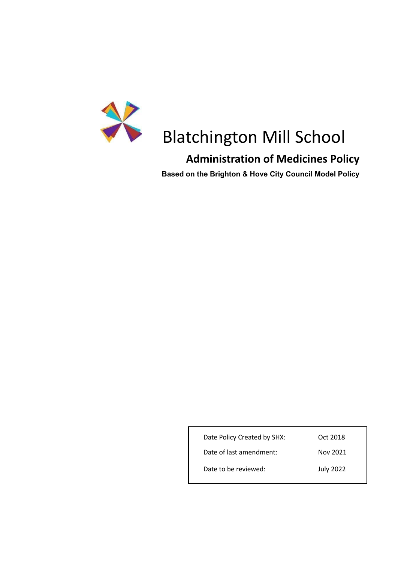

## Blatchington Mill School

## **Administration of Medicines Policy**

**Based on the Brighton & Hove City Council Model Policy**

| Date Policy Created by SHX: | Oct 2018         |
|-----------------------------|------------------|
| Date of last amendment:     | Nov 2021         |
| Date to be reviewed:        | <b>July 2022</b> |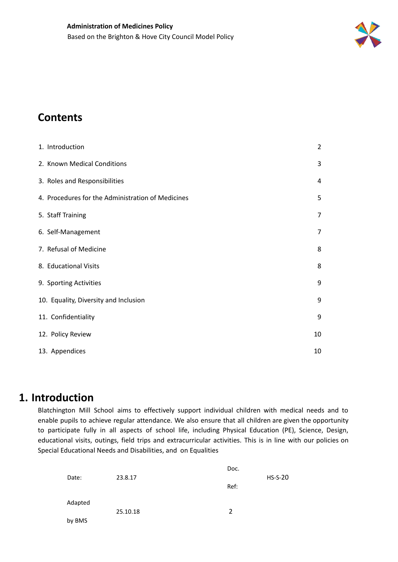

## **Contents**

| 1. Introduction                                   | $\overline{2}$ |
|---------------------------------------------------|----------------|
| 2. Known Medical Conditions                       | 3              |
| 3. Roles and Responsibilities                     | 4              |
| 4. Procedures for the Administration of Medicines | 5              |
| 5. Staff Training                                 | 7              |
| 6. Self-Management                                | 7              |
| 7. Refusal of Medicine                            | 8              |
| 8. Educational Visits                             | 8              |
| 9. Sporting Activities                            | 9              |
| 10. Equality, Diversity and Inclusion             | 9              |
| 11. Confidentiality                               | 9              |
| 12. Policy Review                                 | 10             |
| 13. Appendices                                    | 10             |

## <span id="page-1-0"></span>**1. Introduction**

Blatchington Mill School aims to effectively support individual children with medical needs and to enable pupils to achieve regular attendance. We also ensure that all children are given the opportunity to participate fully in all aspects of school life, including Physical Education (PE), Science, Design, educational visits, outings, field trips and extracurricular activities. This is in line with our policies on Special Educational Needs and Disabilities, and on Equalities

|         |          | Doc. |           |
|---------|----------|------|-----------|
| Date:   | 23.8.17  |      | $HS-S-20$ |
|         |          | Ref: |           |
| Adapted |          |      |           |
|         | 25.10.18 | 2    |           |
| by BMS  |          |      |           |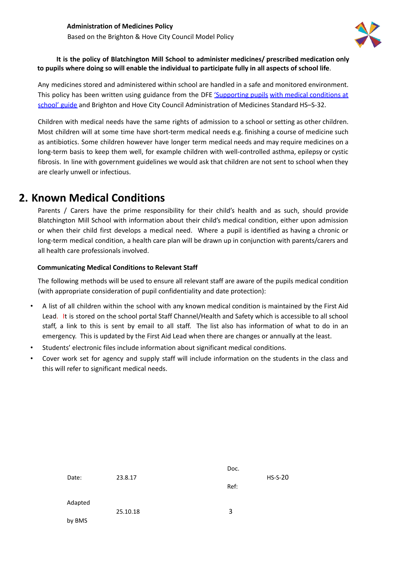

#### **It is the policy of Blatchington Mill School to administer medicines/ prescribed medication only** to pupils where doing so will enable the individual to participate fully in all aspects of school life.

Any medicines stored and administered within school are handled in a safe and monitored environment. This policy has been written using guidance from the DFE ['Supporting](https://www.gov.uk/government/publications/supporting-pupils-at-school-with-medical-conditions--3) pupils with medical conditions at [school'](https://www.gov.uk/government/publications/supporting-pupils-at-school-with-medical-conditions--3) guide and Brighton and Hove City Council Administration of Medicines Standard HS–S-32.

Children with medical needs have the same rights of admission to a school or setting as other children. Most children will at some time have short-term medical needs e.g. finishing a course of medicine such as antibiotics. Some children however have longer term medical needs and may require medicines on a long-term basis to keep them well, for example children with well-controlled asthma, epilepsy or cystic fibrosis. In line with government guidelines we would ask that children are not sent to school when they are clearly unwell or infectious.

## <span id="page-2-0"></span>**2. Known Medical Conditions**

Parents / Carers have the prime responsibility for their child's health and as such, should provide Blatchington Mill School with information about their child's medical condition, either upon admission or when their child first develops a medical need. Where a pupil is identified as having a chronic or long-term medical condition, a health care plan will be drawn up in conjunction with parents/carers and all health care professionals involved.

#### **Communicating Medical Conditions to Relevant Staff**

The following methods will be used to ensure all relevant staff are aware of the pupils medical condition (with appropriate consideration of pupil confidentiality and date protection):

- A list of all children within the school with any known medical condition is maintained by the First Aid Lead. It is stored on the school portal Staff Channel/Health and Safety which is accessible to all school staff, a link to this is sent by email to all staff. The list also has information of what to do in an emergency. This is updated by the First Aid Lead when there are changes or annually at the least.
- Students' electronic files include information about significant medical conditions.
- Cover work set for agency and supply staff will include information on the students in the class and this will refer to significant medical needs.

| Date:   | 23.8.17  | Doc. | $HS-S-20$ |
|---------|----------|------|-----------|
|         |          | Ref: |           |
| Adapted | 25.10.18 | 3    |           |
| by BMS  |          |      |           |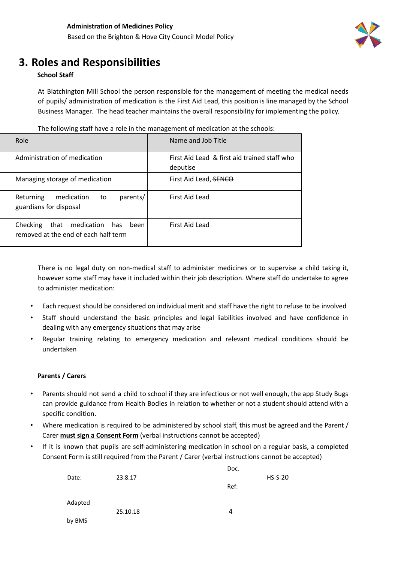

 $\overline{\phantom{0}}$ 

## <span id="page-3-0"></span>**3. Roles and Responsibilities**

#### **School Staff**

At Blatchington Mill School the person responsible for the management of meeting the medical needs of pupils/ administration of medication is the First Aid Lead, this position is line managed by the School Business Manager. The head teacher maintains the overall responsibility for implementing the policy.

| The following staff have a role in the management of medication at the schools: |                    |  |
|---------------------------------------------------------------------------------|--------------------|--|
| Role                                                                            | Name and Job Title |  |

| Role                                                                         | Name and Job Title                                       |
|------------------------------------------------------------------------------|----------------------------------------------------------|
| Administration of medication                                                 | First Aid Lead & first aid trained staff who<br>deputise |
| Managing storage of medication                                               | First Aid Lead, SENCO                                    |
| parents/<br>medication<br>Returning<br>to<br>guardians for disposal          | First Aid Lead                                           |
| that medication has been<br>Checking<br>removed at the end of each half term | First Aid Lead                                           |

There is no legal duty on non-medical staff to administer medicines or to supervise a child taking it, however some staff may have it included within their job description. Where staff do undertake to agree to administer medication:

- Each request should be considered on individual merit and staff have the right to refuse to be involved
- Staff should understand the basic principles and legal liabilities involved and have confidence in dealing with any emergency situations that may arise
- Regular training relating to emergency medication and relevant medical conditions should be undertaken

#### **Parents / Carers**

- Parents should not send a child to school if they are infectious or not well enough, the app Study Bugs can provide guidance from Health Bodies in relation to whether or not a student should attend with a specific condition.
- Where medication is required to be administered by school staff, this must be agreed and the Parent / Carer **must sign a Consent Form** (verbal instructions cannot be accepted)
- If it is known that pupils are self-administering medication in school on a regular basis, a completed Consent Form is still required from the Parent / Carer (verbal instructions cannot be accepted)

|         |          | Doc. |           |
|---------|----------|------|-----------|
| Date:   | 23.8.17  |      | $HS-S-20$ |
|         |          | Ref: |           |
| Adapted |          |      |           |
|         | 25.10.18 | 4    |           |
| by BMS  |          |      |           |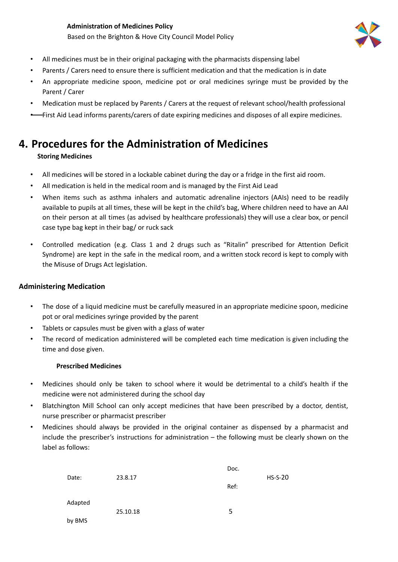#### **Administration of Medicines Policy** Based on the Brighton & Hove City Council Model Policy



- All medicines must be in their original packaging with the pharmacists dispensing label
- Parents / Carers need to ensure there is sufficient medication and that the medication is in date
- An appropriate medicine spoon, medicine pot or oral medicines syringe must be provided by the Parent / Carer
- Medication must be replaced by Parents / Carers at the request of relevant school/health professional
- First Aid Lead informs parents/carers of date expiring medicines and disposes of all expire medicines.

## <span id="page-4-0"></span>**4. Procedures for the Administration of Medicines**

#### **Storing Medicines**

- All medicines will be stored in a lockable cabinet during the day or a fridge in the first aid room.
- All medication is held in the medical room and is managed by the First Aid Lead
- When items such as asthma inhalers and automatic adrenaline injectors (AAIs) need to be readily available to pupils at all times, these will be kept in the child's bag, Where children need to have an AAI on their person at all times (as advised by healthcare professionals) they will use a clear box, or pencil case type bag kept in their bag/ or ruck sack
- Controlled medication (e.g. Class 1 and 2 drugs such as "Ritalin" prescribed for Attention Deficit Syndrome) are kept in the safe in the medical room, and a written stock record is kept to comply with the Misuse of Drugs Act legislation.

#### **Administering Medication**

- The dose of a liquid medicine must be carefully measured in an appropriate medicine spoon, medicine pot or oral medicines syringe provided by the parent
- Tablets or capsules must be given with a glass of water
- The record of medication administered will be completed each time medication is given including the time and dose given.

#### **Prescribed Medicines**

- Medicines should only be taken to school where it would be detrimental to a child's health if the medicine were not administered during the school day
- Blatchington Mill School can only accept medicines that have been prescribed by a doctor, dentist, nurse prescriber or pharmacist prescriber
- Medicines should always be provided in the original container as dispensed by a pharmacist and include the prescriber's instructions for administration – the following must be clearly shown on the label as follows:

|         |          | Doc. |           |
|---------|----------|------|-----------|
| Date:   | 23.8.17  |      | $HS-S-20$ |
|         |          | Ref: |           |
|         |          |      |           |
| Adapted |          |      |           |
|         | 25.10.18 | 5    |           |
| by BMS  |          |      |           |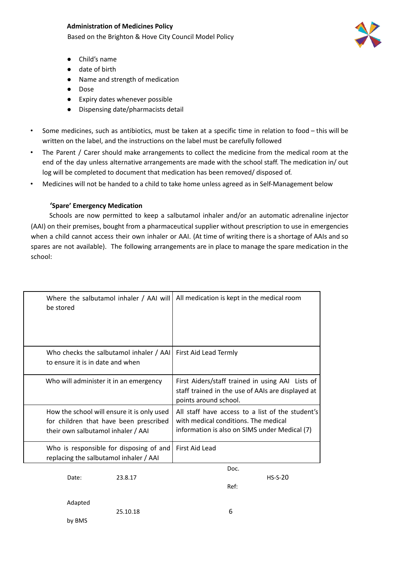#### **Administration of Medicines Policy**

Based on the Brighton & Hove City Council Model Policy

- Child's name
- date of birth
- Name and strength of medication
- Dose
- **Expiry dates whenever possible**
- Dispensing date/pharmacists detail
- Some medicines, such as antibiotics, must be taken at a specific time in relation to food this will be written on the label, and the instructions on the label must be carefully followed
- The Parent / Carer should make arrangements to collect the medicine from the medical room at the end of the day unless alternative arrangements are made with the school staff. The medication in/ out log will be completed to document that medication has been removed/ disposed of.
- Medicines will not be handed to a child to take home unless agreed as in Self-Management below

#### **'Spare' Emergency Medication**

Schools are now permitted to keep a salbutamol inhaler and/or an automatic adrenaline injector (AAI) on their premises, bought from a pharmaceutical supplier without prescription to use in emergencies when a child cannot access their own inhaler or AAI. (At time of writing there is a shortage of AAIs and so spares are not available). The following arrangements are in place to manage the spare medication in the school:

| Where the salbutamol inhaler / AAI will<br>be stored                                                                       | All medication is kept in the medical room                                                                                                |
|----------------------------------------------------------------------------------------------------------------------------|-------------------------------------------------------------------------------------------------------------------------------------------|
| Who checks the salbutamol inhaler / AAI<br>to ensure it is in date and when                                                | First Aid Lead Termly                                                                                                                     |
| Who will administer it in an emergency                                                                                     | First Aiders/staff trained in using AAI Lists of<br>staff trained in the use of AAIs are displayed at<br>points around school.            |
| How the school will ensure it is only used<br>for children that have been prescribed<br>their own salbutamol inhaler / AAI | All staff have access to a list of the student's<br>with medical conditions. The medical<br>information is also on SIMS under Medical (7) |
| Who is responsible for disposing of and<br>replacing the salbutamol inhaler / AAI                                          | First Aid Lead                                                                                                                            |

25.10.18 6

Date: 23.8.17 HS-S-20

Doc. Ref:

Adapted

by BMS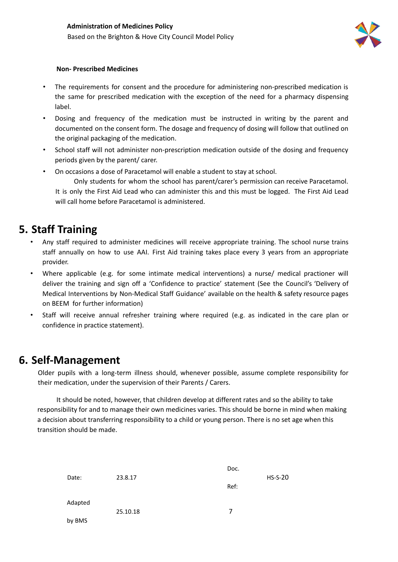

#### **Non- Prescribed Medicines**

- The requirements for consent and the procedure for administering non-prescribed medication is the same for prescribed medication with the exception of the need for a pharmacy dispensing label.
- Dosing and frequency of the medication must be instructed in writing by the parent and documented on the consent form. The dosage and frequency of dosing will follow that outlined on the original packaging of the medication.
- School staff will not administer non-prescription medication outside of the dosing and frequency periods given by the parent/ carer.
- On occasions a dose of Paracetamol will enable a student to stay at school.

Only students for whom the school has parent/carer's permission can receive Paracetamol. It is only the First Aid Lead who can administer this and this must be logged. The First Aid Lead

will call home before Paracetamol is administered.

## <span id="page-6-0"></span>**5. Staff Training**

- Any staff required to administer medicines will receive appropriate training. The school nurse trains staff annually on how to use AAI. First Aid training takes place every 3 years from an appropriate provider.
- Where applicable (e.g. for some intimate medical interventions) a nurse/ medical practioner will deliver the training and sign off a 'Confidence to practice' statement (See the Council's 'Delivery of Medical Interventions by Non-Medical Staff Guidance' available on the health & safety resource pages on BEEM for further information)
- Staff will receive annual refresher training where required (e.g. as indicated in the care plan or confidence in practice statement).

## <span id="page-6-1"></span>**6. Self-Management**

Older pupils with a long-term illness should, whenever possible, assume complete responsibility for their medication, under the supervision of their Parents / Carers.

It should be noted, however, that children develop at different rates and so the ability to take responsibility for and to manage their own medicines varies. This should be borne in mind when making a decision about transferring responsibility to a child or young person. There is no set age when this transition should be made.

| Date:   | 23.8.17  | Doc. | $HS-S-20$ |
|---------|----------|------|-----------|
|         |          | Ref: |           |
| Adapted |          | 7    |           |
| by BMS  | 25.10.18 |      |           |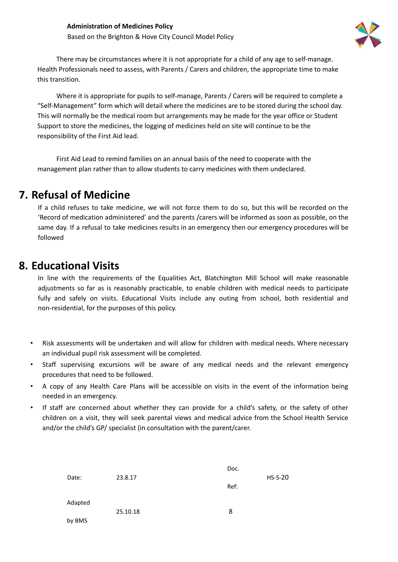

There may be circumstances where it is not appropriate for a child of any age to self-manage. Health Professionals need to assess, with Parents / Carers and children, the appropriate time to make this transition.

Where it is appropriate for pupils to self-manage, Parents / Carers will be required to complete a "Self-Management" form which will detail where the medicines are to be stored during the school day. This will normally be the medical room but arrangements may be made for the year office or Student Support to store the medicines, the logging of medicines held on site will continue to be the responsibility of the First Aid lead.

First Aid Lead to remind families on an annual basis of the need to cooperate with the management plan rather than to allow students to carry medicines with them undeclared.

## <span id="page-7-0"></span>**7. Refusal of Medicine**

If a child refuses to take medicine, we will not force them to do so, but this will be recorded on the 'Record of medication administered' and the parents /carers will be informed as soon as possible, on the same day. If a refusal to take medicines results in an emergency then our emergency procedures will be followed

## <span id="page-7-1"></span>**8. Educational Visits**

In line with the requirements of the Equalities Act, Blatchington Mill School will make reasonable adjustments so far as is reasonably practicable, to enable children with medical needs to participate fully and safely on visits. Educational Visits include any outing from school, both residential and non-residential, for the purposes of this policy.

- Risk assessments will be undertaken and will allow for children with medical needs. Where necessary an individual pupil risk assessment will be completed.
- Staff supervising excursions will be aware of any medical needs and the relevant emergency procedures that need to be followed.
- A copy of any Health Care Plans will be accessible on visits in the event of the information being needed in an emergency.
- If staff are concerned about whether they can provide for a child's safety, or the safety of other children on a visit, they will seek parental views and medical advice from the School Health Service and/or the child's GP/ specialist (in consultation with the parent/carer.

|         |          | Doc. |           |
|---------|----------|------|-----------|
| Date:   | 23.8.17  |      | $HS-S-20$ |
|         |          | Ref: |           |
|         |          |      |           |
| Adapted |          |      |           |
|         | 25.10.18 | 8    |           |
| by BMS  |          |      |           |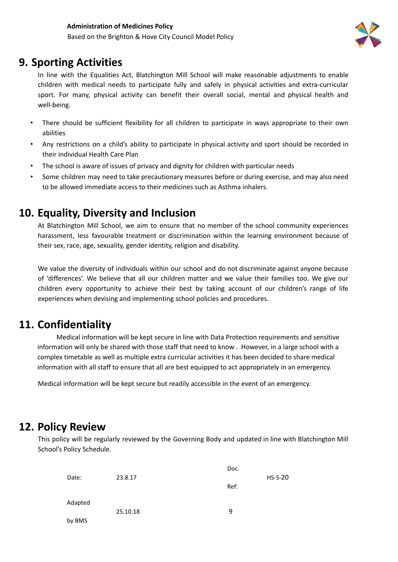

## <span id="page-8-0"></span>**9. Sporting Activities**

In line with the Equalities Act, Blatchington Mill School will make reasonable adjustments to enable children with medical needs to participate fully and safely in physical activities and extra-curricular sport. For many, physical activity can benefit their overall social, mental and physical health and well-being.

- There should be sufficient flexibility for all children to participate in ways appropriate to their own abilities
- Any restrictions on a child's ability to participate in physical activity and sport should be recorded in their individual Health Care Plan
- The school is aware of issues of privacy and dignity for children with particular needs
- Some children may need to take precautionary measures before or during exercise, and may also need to be allowed immediate access to their medicines such as Asthma inhalers.

## <span id="page-8-1"></span>**10. Equality, Diversity and Inclusion**

At Blatchington Mill School, we aim to ensure that no member of the school community experiences harassment, less favourable treatment or discrimination within the learning environment because of their sex, race, age, sexuality, gender identity, religion and disability.

We value the diversity of individuals within our school and do not discriminate against anyone because of 'differences'. We believe that all our children matter and we value their families too. We give our children every opportunity to achieve their best by taking account of our children's range of life experiences when devising and implementing school policies and procedures.

## <span id="page-8-2"></span>**11. Confidentiality**

Medical information will be kept secure in line with Data Protection requirements and sensitive information will only be shared with those staff that need to know . However, in a large school with a complex timetable as well as multiple extra curricular activities it has been decided to share medical information with all staff to ensure that all are best equipped to act appropriately in an emergency.

Medical information will be kept secure but readily accessible in the event of an emergency.

## <span id="page-8-3"></span>**12. Policy Review**

This policy will be regularly reviewed by the Governing Body and updated in line with Blatchington Mill School's Policy Schedule.

|         |          | Doc. |           |
|---------|----------|------|-----------|
| Date:   | 23.8.17  |      | $HS-S-20$ |
|         |          | Ref: |           |
|         |          |      |           |
| Adapted |          |      |           |
|         | 25.10.18 | 9    |           |
| by BMS  |          |      |           |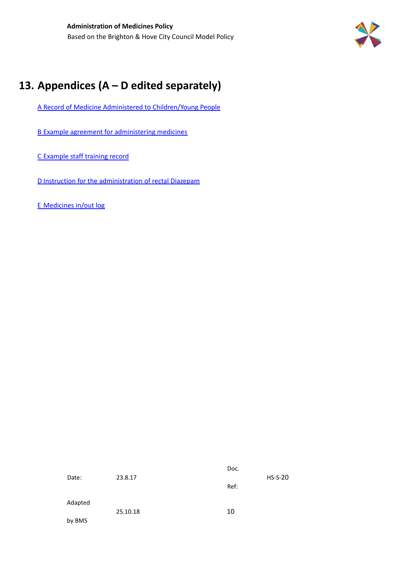

## <span id="page-9-0"></span>**13. Appendices (A – D edited separately)**

A Record of Medicine Administered to Children/Young People

B Example agreement for administering medicines

C Example staff training record

D Instruction for the administration of rectal Diazepam

E Medicines in/out log

|         |          | Doc. |           |
|---------|----------|------|-----------|
| Date:   | 23.8.17  |      | $HS-S-20$ |
|         |          | Ref: |           |
|         |          |      |           |
| Adapted |          |      |           |
|         | 25.10.18 | 10   |           |
| by BMS  |          |      |           |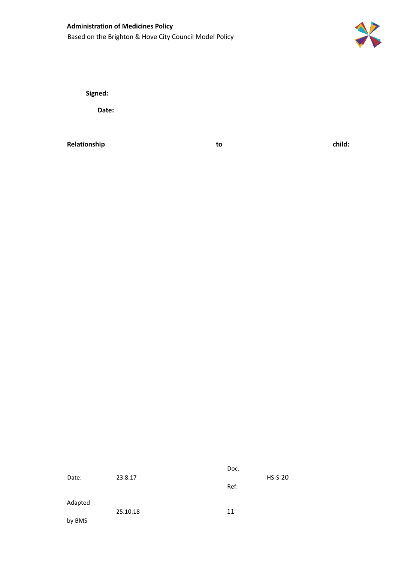## **Administration of Medicines Policy** Based on the Brighton & Hove City Council Model Policy



**Signed:**

**Date:**

**Relationship to child:**

|         |          | Doc. |           |
|---------|----------|------|-----------|
| Date:   | 23.8.17  |      | $HS-S-20$ |
|         |          | Ref: |           |
|         |          |      |           |
| Adapted |          |      |           |
|         | 25.10.18 | 11   |           |
| by BMS  |          |      |           |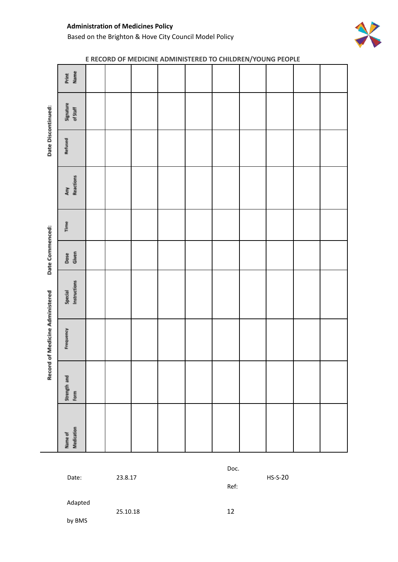#### **Administration of Medicines Policy** Based on the Brighton & Hove City Council Model Policy



# Print<br>Name Signature<br>of Staff Date Discontinued: Refused Any<br>Reactions Time Date Commenced: Dose<br>Given Special<br>Instructions Record of Medicine Administered Frequency Strength and<br>Form Name of<br>Medication

**E RECORD OF MEDICINE ADMINISTERED TO CHILDREN/YOUNG PEOPLE**

Date: 23.8.17 HS-S-20

Doc.

Ref:

Adapted

25.10.18 12

by BMS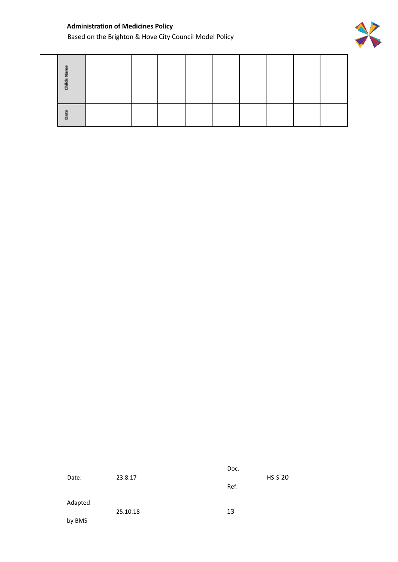### **Administration of Medicines Policy**

Based on the Brighton & Hove City Council Model Policy



| Childs |  |  |  |  |  |
|--------|--|--|--|--|--|
| å      |  |  |  |  |  |

| Date:   | 23.8.17  | Doc. | $HS-S-20$ |
|---------|----------|------|-----------|
|         |          | Ref: |           |
| Adapted |          |      |           |
| by BMS  | 25.10.18 | 13   |           |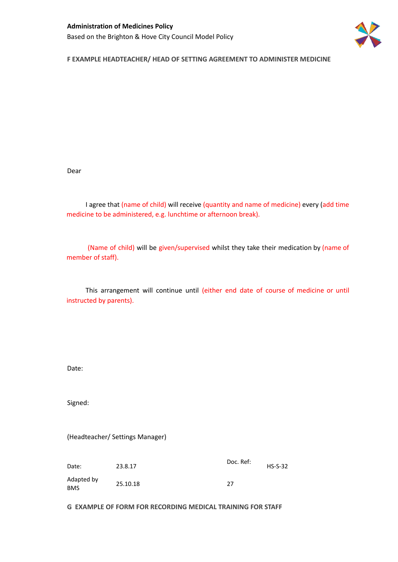

**F EXAMPLE HEADTEACHER/ HEAD OF SETTING AGREEMENT TO ADMINISTER MEDICINE**

Dear

I agree that (name of child) will receive (quantity and name of medicine) every (add time medicine to be administered, e.g. lunchtime or afternoon break).

(Name of child) will be given/supervised whilst they take their medication by (name of member of staff).

This arrangement will continue until (either end date of course of medicine or until instructed by parents).

Date:

Signed:

(Headteacher/ Settings Manager)

Date: 23.8.17 Doc. Ref: HS-S-32 Adapted by BMS 25.10.18 27

**G EXAMPLE OF FORM FOR RECORDING MEDICAL TRAINING FOR STAFF**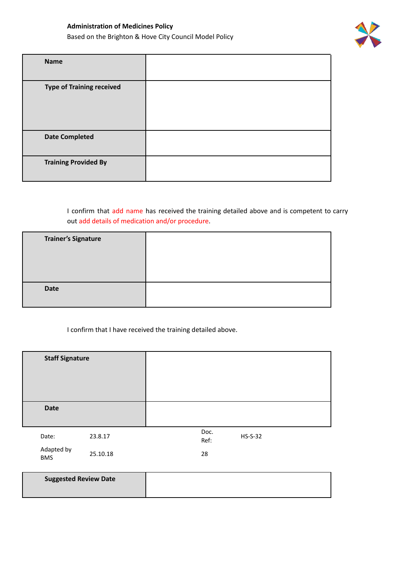

| <b>Name</b>                      |  |
|----------------------------------|--|
| <b>Type of Training received</b> |  |
| <b>Date Completed</b>            |  |
| <b>Training Provided By</b>      |  |

I confirm that add name has received the training detailed above and is competent to carry out add details of medication and/or procedure.

| <b>Trainer's Signature</b> |  |
|----------------------------|--|
| <b>Date</b>                |  |

I confirm that I have received the training detailed above.

| <b>Staff Signature</b>   |          |              |             |  |
|--------------------------|----------|--------------|-------------|--|
| <b>Date</b>              |          |              |             |  |
| Date:                    | 23.8.17  | Doc.<br>Ref: | $HS- S- 32$ |  |
| Adapted by<br><b>BMS</b> | 25.10.18 | 28           |             |  |

| <b>Suggested Review Date</b> |  |
|------------------------------|--|
|                              |  |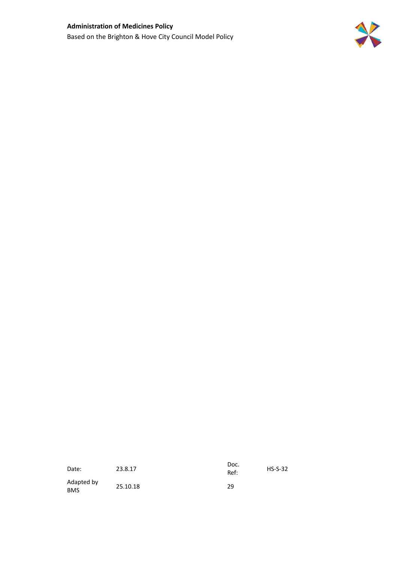

| Date:                    | 23.8.17  | Doc.<br>Ref: | $HS-S-32$ |
|--------------------------|----------|--------------|-----------|
| Adapted by<br><b>BMS</b> | 25.10.18 | 29           |           |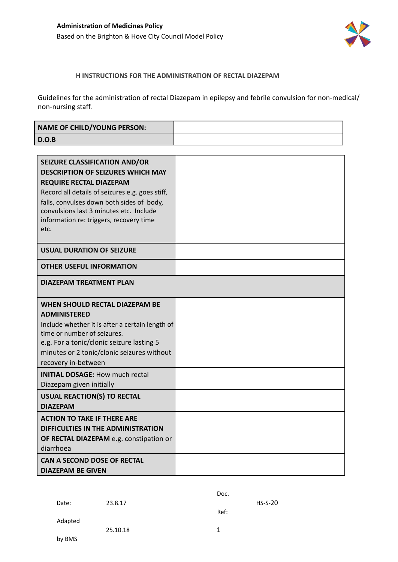

#### **H INSTRUCTIONS FOR THE ADMINISTRATION OF RECTAL DIAZEPAM**

Guidelines for the administration of rectal Diazepam in epilepsy and febrile convulsion for non-medical/ non-nursing staff.

| <b>NAME OF CHILD/YOUNG PERSON:</b> |  |
|------------------------------------|--|
| D.O.B                              |  |

| <b>SEIZURE CLASSIFICATION AND/OR</b><br><b>DESCRIPTION OF SEIZURES WHICH MAY</b><br><b>REQUIRE RECTAL DIAZEPAM</b><br>Record all details of seizures e.g. goes stiff,<br>falls, convulses down both sides of body,<br>convulsions last 3 minutes etc. Include<br>information re: triggers, recovery time<br>etc. |  |
|------------------------------------------------------------------------------------------------------------------------------------------------------------------------------------------------------------------------------------------------------------------------------------------------------------------|--|
| <b>USUAL DURATION OF SEIZURE</b>                                                                                                                                                                                                                                                                                 |  |
| <b>OTHER USEFUL INFORMATION</b>                                                                                                                                                                                                                                                                                  |  |
| DIAZEPAM TREATMENT PLAN                                                                                                                                                                                                                                                                                          |  |
| WHEN SHOULD RECTAL DIAZEPAM BE<br><b>ADMINISTERED</b><br>Include whether it is after a certain length of<br>time or number of seizures.<br>e.g. For a tonic/clonic seizure lasting 5<br>minutes or 2 tonic/clonic seizures without<br>recovery in-between                                                        |  |
| <b>INITIAL DOSAGE: How much rectal</b><br>Diazepam given initially                                                                                                                                                                                                                                               |  |
| <b>USUAL REACTION(S) TO RECTAL</b><br><b>DIAZEPAM</b>                                                                                                                                                                                                                                                            |  |
| <b>ACTION TO TAKE IF THERE ARE</b><br>DIFFICULTIES IN THE ADMINISTRATION<br>OF RECTAL DIAZEPAM e.g. constipation or<br>diarrhoea<br>CAN A SECOND DOSE OF RECTAL                                                                                                                                                  |  |
| <b>DIAZEPAM BE GIVEN</b>                                                                                                                                                                                                                                                                                         |  |

|         |          | Doc. |           |
|---------|----------|------|-----------|
| Date:   | 23.8.17  |      | $HS-S-20$ |
|         |          | Ref: |           |
| Adapted |          |      |           |
|         | 25.10.18 | 1    |           |
| by BMS  |          |      |           |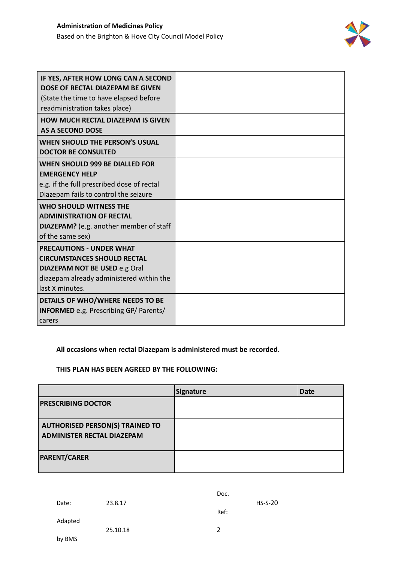

| IF YES, AFTER HOW LONG CAN A SECOND<br>DOSE OF RECTAL DIAZEPAM BE GIVEN<br>(State the time to have elapsed before<br>readministration takes place)                           |  |
|------------------------------------------------------------------------------------------------------------------------------------------------------------------------------|--|
| <b>HOW MUCH RECTAL DIAZEPAM IS GIVEN</b><br><b>AS A SECOND DOSE</b>                                                                                                          |  |
| <b>WHEN SHOULD THE PERSON'S USUAL</b><br><b>DOCTOR BE CONSULTED</b>                                                                                                          |  |
| <b>WHEN SHOULD 999 BE DIALLED FOR</b><br><b>EMERGENCY HELP</b><br>e.g. if the full prescribed dose of rectal<br>Diazepam fails to control the seizure                        |  |
| WHO SHOULD WITNESS THE<br><b>ADMINISTRATION OF RECTAL</b><br><b>DIAZEPAM?</b> (e.g. another member of staff<br>of the same sex)                                              |  |
| <b>PRECAUTIONS - UNDER WHAT</b><br><b>CIRCUMSTANCES SHOULD RECTAL</b><br><b>DIAZEPAM NOT BE USED e.g Oral</b><br>diazepam already administered within the<br>last X minutes. |  |
| DETAILS OF WHO/WHERE NEEDS TO BE<br><b>INFORMED</b> e.g. Prescribing GP/ Parents/<br>carers                                                                                  |  |

**All occasions when rectal Diazepam is administered must be recorded.**

#### **THIS PLAN HAS BEEN AGREED BY THE FOLLOWING:**

|                                                                             | Signature | <b>Date</b> |
|-----------------------------------------------------------------------------|-----------|-------------|
| <b>PRESCRIBING DOCTOR</b>                                                   |           |             |
| <b>AUTHORISED PERSON(S) TRAINED TO</b><br><b>ADMINISTER RECTAL DIAZEPAM</b> |           |             |
| <b>PARENT/CARER</b>                                                         |           |             |

|         |          | Doc. |           |
|---------|----------|------|-----------|
| Date:   | 23.8.17  |      | $HS-S-20$ |
|         |          | Ref: |           |
| Adapted |          |      |           |
| by BMS  | 25.10.18 | 2    |           |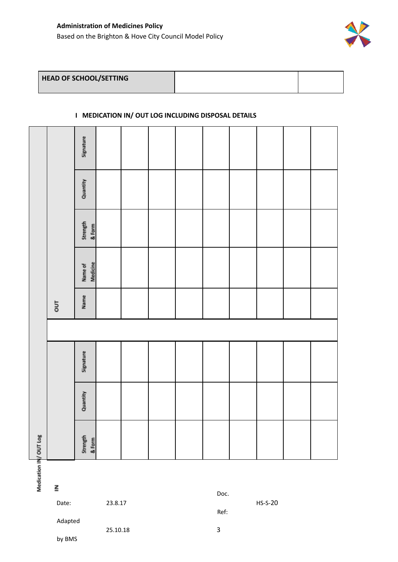

#### **I MEDICATION IN/ OUT LOG INCLUDING DISPOSAL DETAILS**

| V OUT Log          |          |           |       |                     |                    |          |           |
|--------------------|----------|-----------|-------|---------------------|--------------------|----------|-----------|
|                    |          |           | $5\,$ |                     |                    |          |           |
| Strength<br>& Form | Quantity | Signature | Name  | Name of<br>Medicine | Strength<br>& Form | Quantity | Signature |
|                    |          |           |       |                     |                    |          |           |
|                    |          |           |       |                     |                    |          |           |
|                    |          |           |       |                     |                    |          |           |
|                    |          |           |       |                     |                    |          |           |
|                    |          |           |       |                     |                    |          |           |
|                    |          |           |       |                     |                    |          |           |
|                    |          |           |       |                     |                    |          |           |
|                    |          |           |       |                     |                    |          |           |
|                    |          |           |       |                     |                    |          |           |

Medication IN

 $\underline{\underline{\mathbf{z}}}$ 

Adapted

by BMS

Doc.

Ref:

Date: 23.8.17 HS-S-20

25.10.18 3